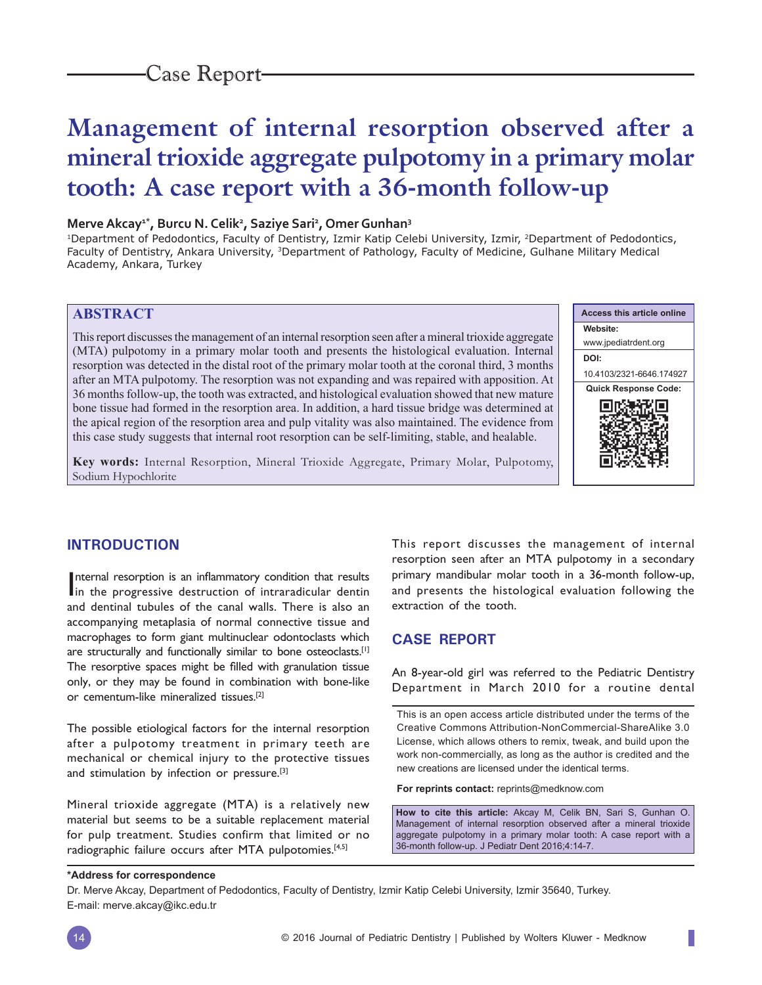# **Management of internal resorption observed after a mineral trioxide aggregate pulpotomy in a primary molar tooth: A case report with a 36-month follow-up**

### **Merve Akcay1\*, Burcu N. Celik2 , Saziye Sari2 , Omer Gunhan3**

<sup>1</sup>Department of Pedodontics, Faculty of Dentistry, Izmir Katip Celebi University, Izmir, <sup>2</sup>Department of Pedodontics, Faculty of Dentistry, Ankara University, <sup>3</sup>Department of Pathology, Faculty of Medicine, Gulhane Military Medical Academy, Ankara, Turkey

# **ABSTRACT**

This report discusses the management of an internal resorption seen after a mineral trioxide aggregate (MTA) pulpotomy in a primary molar tooth and presents the histological evaluation. Internal resorption was detected in the distal root of the primary molar tooth at the coronal third, 3 months after an MTA pulpotomy. The resorption was not expanding and was repaired with apposition. At 36 months follow-up, the tooth was extracted, and histological evaluation showed that new mature bone tissue had formed in the resorption area. In addition, a hard tissue bridge was determined at the apical region of the resorption area and pulp vitality was also maintained. The evidence from this case study suggests that internal root resorption can be self-limiting, stable, and healable.





## **INTRODUCTION**

Internal resorption is an inflammatory condition that results<br>in the progressive destruction of intraradicular dentin Internal resorption is an inflammatory condition that results and dentinal tubules of the canal walls. There is also an accompanying metaplasia of normal connective tissue and macrophages to form giant multinuclear odontoclasts which are structurally and functionally similar to bone osteoclasts.[1] The resorptive spaces might be filled with granulation tissue only, or they may be found in combination with bone-like or cementum-like mineralized tissues.[2]

The possible etiological factors for the internal resorption after a pulpotomy treatment in primary teeth are mechanical or chemical injury to the protective tissues and stimulation by infection or pressure.<sup>[3]</sup>

Mineral trioxide aggregate (MTA) is a relatively new material but seems to be a suitable replacement material for pulp treatment. Studies confirm that limited or no radiographic failure occurs after MTA pulpotomies.[4,5]

This report discusses the management of internal resorption seen after an MTA pulpotomy in a secondary primary mandibular molar tooth in a 36-month follow-up, and presents the histological evaluation following the extraction of the tooth.

# **CASE REPORT**

An 8-year-old girl was referred to the Pediatric Dentistry Department in March 2010 for a routine dental

This is an open access article distributed under the terms of the Creative Commons Attribution-NonCommercial-ShareAlike 3.0 License, which allows others to remix, tweak, and build upon the work non-commercially, as long as the author is credited and the new creations are licensed under the identical terms.

**For reprints contact:** reprints@medknow.com

**How to cite this article:** Akcay M, Celik BN, Sari S, Gunhan O. Management of internal resorption observed after a mineral trioxide aggregate pulpotomy in a primary molar tooth: A case report with a 36-month follow-up. J Pediatr Dent 2016;4:14-7.

#### **\*Address for correspondence**

Dr. Merve Akcay, Department of Pedodontics, Faculty of Dentistry, Izmir Katip Celebi University, Izmir 35640, Turkey. E-mail: merve.akcay@ikc.edu.tr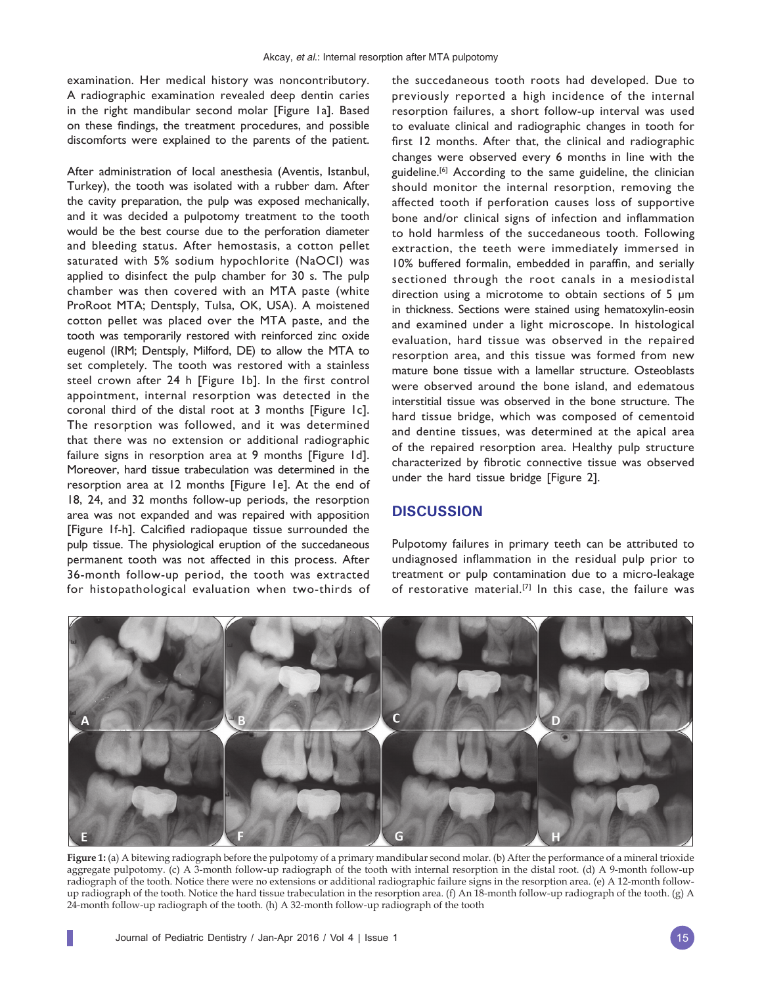examination. Her medical history was noncontributory. A radiographic examination revealed deep dentin caries in the right mandibular second molar [Figure 1a]. Based on these findings, the treatment procedures, and possible discomforts were explained to the parents of the patient.

After administration of local anesthesia (Aventis, Istanbul, Turkey), the tooth was isolated with a rubber dam. After the cavity preparation, the pulp was exposed mechanically, and it was decided a pulpotomy treatment to the tooth would be the best course due to the perforation diameter and bleeding status. After hemostasis, a cotton pellet saturated with 5% sodium hypochlorite (NaOCI) was applied to disinfect the pulp chamber for 30 s. The pulp chamber was then covered with an MTA paste (white ProRoot MTA; Dentsply, Tulsa, OK, USA). A moistened cotton pellet was placed over the MTA paste, and the tooth was temporarily restored with reinforced zinc oxide eugenol (IRM; Dentsply, Milford, DE) to allow the MTA to set completely. The tooth was restored with a stainless steel crown after 24 h [Figure 1b]. In the first control appointment, internal resorption was detected in the coronal third of the distal root at 3 months [Figure 1c]. The resorption was followed, and it was determined that there was no extension or additional radiographic failure signs in resorption area at 9 months [Figure 1d]. Moreover, hard tissue trabeculation was determined in the resorption area at 12 months [Figure 1e]. At the end of 18, 24, and 32 months follow-up periods, the resorption area was not expanded and was repaired with apposition [Figure 1f-h]. Calcified radiopaque tissue surrounded the pulp tissue. The physiological eruption of the succedaneous permanent tooth was not affected in this process. After 36-month follow-up period, the tooth was extracted for histopathological evaluation when two-thirds of the succedaneous tooth roots had developed. Due to previously reported a high incidence of the internal resorption failures, a short follow-up interval was used to evaluate clinical and radiographic changes in tooth for first 12 months. After that, the clinical and radiographic changes were observed every 6 months in line with the guideline.<sup>[6]</sup> According to the same guideline, the clinician should monitor the internal resorption, removing the affected tooth if perforation causes loss of supportive bone and/or clinical signs of infection and inflammation to hold harmless of the succedaneous tooth. Following extraction, the teeth were immediately immersed in 10% buffered formalin, embedded in paraffin, and serially sectioned through the root canals in a mesiodistal direction using a microtome to obtain sections of 5 μm in thickness. Sections were stained using hematoxylin-eosin and examined under a light microscope. In histological evaluation, hard tissue was observed in the repaired resorption area, and this tissue was formed from new mature bone tissue with a lamellar structure. Osteoblasts were observed around the bone island, and edematous interstitial tissue was observed in the bone structure. The hard tissue bridge, which was composed of cementoid and dentine tissues, was determined at the apical area of the repaired resorption area. Healthy pulp structure characterized by fibrotic connective tissue was observed under the hard tissue bridge [Figure 2].

#### **DISCUSSION**

Pulpotomy failures in primary teeth can be attributed to undiagnosed inflammation in the residual pulp prior to treatment or pulp contamination due to a micro-leakage of restorative material.<sup>[7]</sup> In this case, the failure was



**Figure 1:** (a) A bitewing radiograph before the pulpotomy of a primary mandibular second molar. (b) After the performance of a mineral trioxide aggregate pulpotomy. (c) A 3-month follow-up radiograph of the tooth with internal resorption in the distal root. (d) A 9-month follow-up radiograph of the tooth. Notice there were no extensions or additional radiographic failure signs in the resorption area. (e) A 12-month followup radiograph of the tooth. Notice the hard tissue trabeculation in the resorption area. (f) An 18-month follow-up radiograph of the tooth. (g) A 24-month follow-up radiograph of the tooth. (h) A 32-month follow-up radiograph of the tooth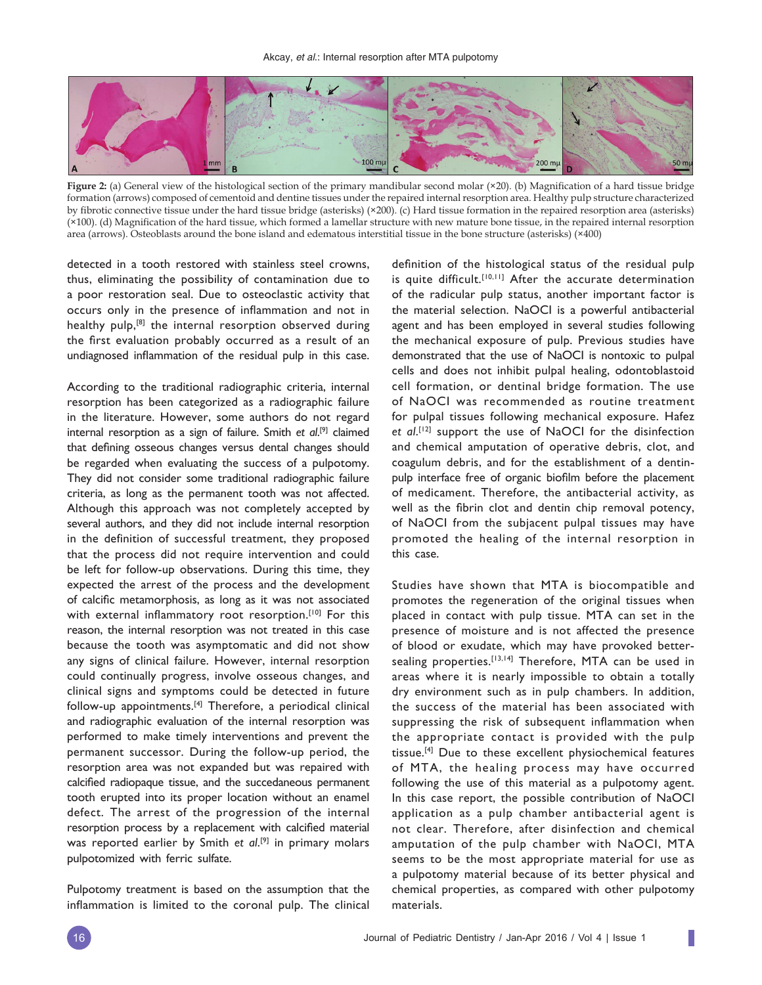

**Figure 2:** (a) General view of the histological section of the primary mandibular second molar (×20). (b) Magnification of a hard tissue bridge formation (arrows) composed of cementoid and dentine tissues under the repaired internal resorption area. Healthy pulp structure characterized by fibrotic connective tissue under the hard tissue bridge (asterisks) (×200). (c) Hard tissue formation in the repaired resorption area (asterisks) (×100). (d) Magnification of the hard tissue, which formed a lamellar structure with new mature bone tissue, in the repaired internal resorption area (arrows). Osteoblasts around the bone island and edematous interstitial tissue in the bone structure (asterisks) (×400)

detected in a tooth restored with stainless steel crowns, thus, eliminating the possibility of contamination due to a poor restoration seal. Due to osteoclastic activity that occurs only in the presence of inflammation and not in healthy pulp,<sup>[8]</sup> the internal resorption observed during the first evaluation probably occurred as a result of an undiagnosed inflammation of the residual pulp in this case.

According to the traditional radiographic criteria, internal resorption has been categorized as a radiographic failure in the literature. However, some authors do not regard internal resorption as a sign of failure. Smith *et al*. [9] claimed that defining osseous changes versus dental changes should be regarded when evaluating the success of a pulpotomy. They did not consider some traditional radiographic failure criteria, as long as the permanent tooth was not affected. Although this approach was not completely accepted by several authors, and they did not include internal resorption in the definition of successful treatment, they proposed that the process did not require intervention and could be left for follow-up observations. During this time, they expected the arrest of the process and the development of calcific metamorphosis, as long as it was not associated with external inflammatory root resorption.<sup>[10]</sup> For this reason, the internal resorption was not treated in this case because the tooth was asymptomatic and did not show any signs of clinical failure. However, internal resorption could continually progress, involve osseous changes, and clinical signs and symptoms could be detected in future follow-up appointments.[4] Therefore, a periodical clinical and radiographic evaluation of the internal resorption was performed to make timely interventions and prevent the permanent successor. During the follow-up period, the resorption area was not expanded but was repaired with calcified radiopaque tissue, and the succedaneous permanent tooth erupted into its proper location without an enamel defect. The arrest of the progression of the internal resorption process by a replacement with calcified material was reported earlier by Smith *et al*. [9] in primary molars pulpotomized with ferric sulfate.

Pulpotomy treatment is based on the assumption that the inflammation is limited to the coronal pulp. The clinical definition of the histological status of the residual pulp is quite difficult.<sup>[10,11]</sup> After the accurate determination of the radicular pulp status, another important factor is the material selection. NaOCI is a powerful antibacterial agent and has been employed in several studies following the mechanical exposure of pulp. Previous studies have demonstrated that the use of NaOCI is nontoxic to pulpal cells and does not inhibit pulpal healing, odontoblastoid cell formation, or dentinal bridge formation. The use of NaOCI was recommended as routine treatment for pulpal tissues following mechanical exposure. Hafez *et al*. [12] support the use of NaOCI for the disinfection and chemical amputation of operative debris, clot, and coagulum debris, and for the establishment of a dentinpulp interface free of organic biofilm before the placement of medicament. Therefore, the antibacterial activity, as well as the fibrin clot and dentin chip removal potency, of NaOCI from the subjacent pulpal tissues may have promoted the healing of the internal resorption in this case.

Studies have shown that MTA is biocompatible and promotes the regeneration of the original tissues when placed in contact with pulp tissue. MTA can set in the presence of moisture and is not affected the presence of blood or exudate, which may have provoked bettersealing properties.<sup>[13,14]</sup> Therefore, MTA can be used in areas where it is nearly impossible to obtain a totally dry environment such as in pulp chambers. In addition, the success of the material has been associated with suppressing the risk of subsequent inflammation when the appropriate contact is provided with the pulp tissue.[4] Due to these excellent physiochemical features of MTA, the healing process may have occurred following the use of this material as a pulpotomy agent. In this case report, the possible contribution of NaOCI application as a pulp chamber antibacterial agent is not clear. Therefore, after disinfection and chemical amputation of the pulp chamber with NaOCI, MTA seems to be the most appropriate material for use as a pulpotomy material because of its better physical and chemical properties, as compared with other pulpotomy materials.